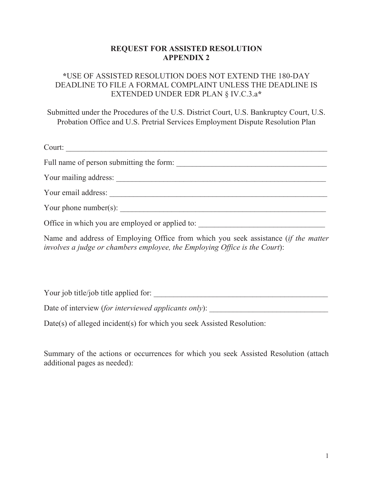## **REQUEST FOR ASSISTED RESOLUTION APPENDIX 2**

## **\***USE OF ASSISTED RESOLUTION DOES NOT EXTEND THE 180-DAY DEADLINE TO FILE A FORMAL COMPLAINT UNLESS THE DEADLINE IS EXTENDED UNDER EDR PLAN § IV.C.3.a**\***

Submitted under the Procedures of the U.S. District Court, U.S. Bankruptcy Court, U.S. Probation Office and U.S. Pretrial Services Employment Dispute Resolution Plan

| Court:                                          |  |
|-------------------------------------------------|--|
| Full name of person submitting the form:        |  |
|                                                 |  |
| Your email address:                             |  |
| Your phone number(s):                           |  |
| Office in which you are employed or applied to: |  |

Name and address of Employing Office from which you seek assistance (*if the matter involves a judge or chambers employee, the Employing Office is the Court*):

Your job title/job title applied for: \_\_\_\_\_\_\_\_\_\_\_\_\_\_\_\_\_\_\_\_\_\_\_\_\_\_\_\_\_\_\_\_\_\_\_\_\_\_\_\_\_\_\_\_

Date of interview (for interviewed applicants only): \_\_\_\_\_\_\_\_\_\_\_\_\_\_\_\_\_\_\_\_\_\_\_\_\_\_\_

Date(s) of alleged incident(s) for which you seek Assisted Resolution:

Summary of the actions or occurrences for which you seek Assisted Resolution (attach additional pages as needed):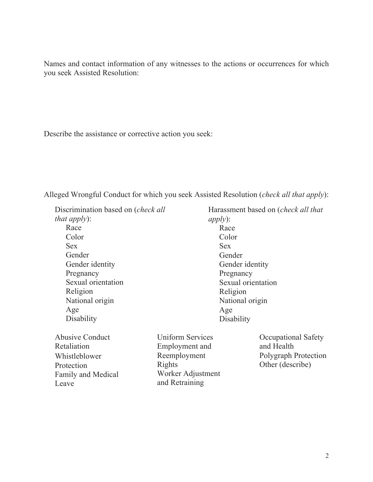Names and contact information of any witnesses to the actions or occurrences for which you seek Assisted Resolution:

Describe the assistance or corrective action you seek:

Alleged Wrongful Conduct for which you seek Assisted Resolution (*check all that apply*):

 Discrimination based on (*check all that apply*): Race Color Sex Gender Gender identity Pregnancy Sexual orientation Religion National origin Age **Disability** 

 Abusive Conduct Retaliation Whistleblower Protection Family and Medical Leave

 Harassment based on (*check all that apply*): Race Color Sex Gender Gender identity Pregnancy Sexual orientation Religion National origin Age **Disability** 

 Uniform Services Employment and Reemployment Rights Worker Adjustment and Retraining

 Occupational Safety and Health Polygraph Protection Other (describe)